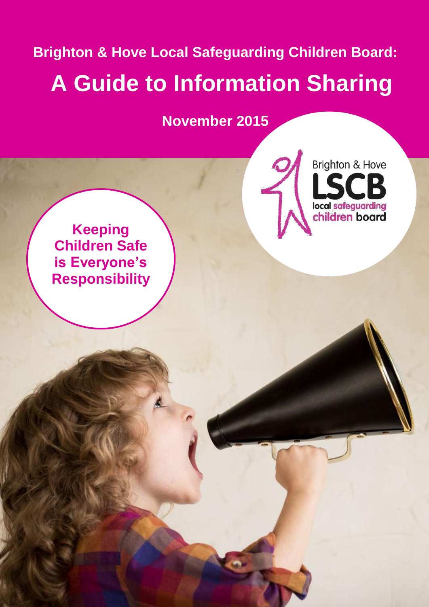**Brighton & Hove Local Safeguarding Children Board: A Guide to Information Sharing**

**November 2015**

**Brighton & Hove** 

local safeguarding<br>children board

**Keeping Children Safe is Everyone's Responsibility**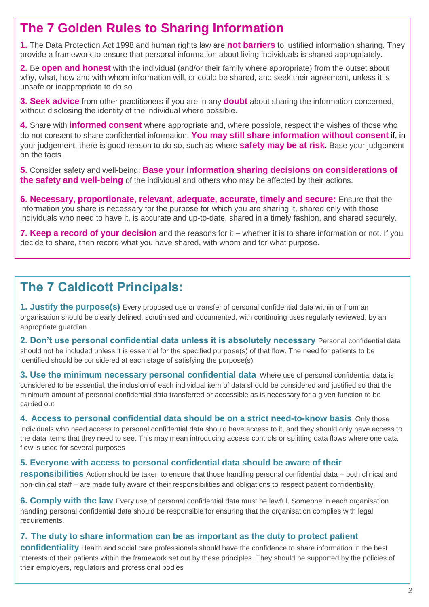# **The 7 Golden Rules to Sharing Information**

**1.** The Data Protection Act 1998 and human rights law are **not barriers** to justified information sharing. They provide a framework to ensure that personal information about living individuals is shared appropriately.

**2.** Be **open and honest** with the individual (and/or their family where appropriate) from the outset about why, what, how and with whom information will, or could be shared, and seek their agreement, unless it is unsafe or inappropriate to do so.

**3. Seek advice** from other practitioners if you are in any **doubt** about sharing the information concerned, without disclosing the identity of the individual where possible.

**4.** Share with **informed consent** where appropriate and, where possible, respect the wishes of those who do not consent to share confidential information. **You may still share information without consent** if, in your judgement, there is good reason to do so, such as where **safety may be at risk**. Base your judgement on the facts.

**5.** Consider safety and well-being: **Base your information sharing decisions on considerations of the safety and well-being** of the individual and others who may be affected by their actions.

**6. Necessary, proportionate, relevant, adequate, accurate, timely and secure:** Ensure that the information you share is necessary for the purpose for which you are sharing it, shared only with those individuals who need to have it, is accurate and up-to-date, shared in a timely fashion, and shared securely.

**7. Keep a record of your decision** and the reasons for it – whether it is to share information or not. If you decide to share, then record what you have shared, with whom and for what purpose.

# **The 7 Caldicott Principals:**

**1. Justify the purpose(s)** Every proposed use or transfer of personal confidential data within or from an organisation should be clearly defined, scrutinised and documented, with continuing uses regularly reviewed, by an appropriate guardian.

**2. Don't use personal confidential data unless it is absolutely necessary** Personal confidential data should not be included unless it is essential for the specified purpose(s) of that flow. The need for patients to be identified should be considered at each stage of satisfying the purpose(s)

**3. Use the minimum necessary personal confidential data** Where use of personal confidential data is considered to be essential, the inclusion of each individual item of data should be considered and justified so that the minimum amount of personal confidential data transferred or accessible as is necessary for a given function to be carried out

**4. Access to personal confidential data should be on a strict need-to-know basis** Only those individuals who need access to personal confidential data should have access to it, and they should only have access to the data items that they need to see. This may mean introducing access controls or splitting data flows where one data flow is used for several purposes

### **5. Everyone with access to personal confidential data should be aware of their**

**responsibilities** Action should be taken to ensure that those handling personal confidential data – both clinical and non-clinical staff – are made fully aware of their responsibilities and obligations to respect patient confidentiality.

**6. Comply with the law** Every use of personal confidential data must be lawful. Someone in each organisation handling personal confidential data should be responsible for ensuring that the organisation complies with legal requirements.

### **7. The duty to share information can be as important as the duty to protect patient**

**confidentiality** Health and social care professionals should have the confidence to share information in the best interests of their patients within the framework set out by these principles. They should be supported by the policies of their employers, regulators and professional bodies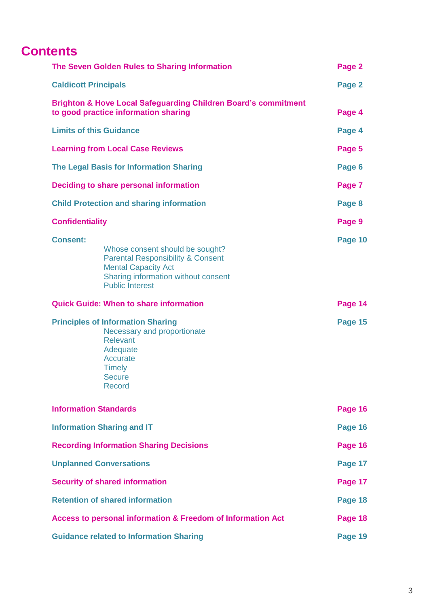# **Contents**

| The Seven Golden Rules to Sharing Information                                                                                                                         |                                                                                                                                                                                | Page 2  |
|-----------------------------------------------------------------------------------------------------------------------------------------------------------------------|--------------------------------------------------------------------------------------------------------------------------------------------------------------------------------|---------|
| <b>Caldicott Principals</b>                                                                                                                                           |                                                                                                                                                                                | Page 2  |
| <b>Brighton &amp; Hove Local Safeguarding Children Board's commitment</b><br>to good practice information sharing                                                     |                                                                                                                                                                                | Page 4  |
| <b>Limits of this Guidance</b>                                                                                                                                        |                                                                                                                                                                                | Page 4  |
| <b>Learning from Local Case Reviews</b>                                                                                                                               |                                                                                                                                                                                | Page 5  |
| <b>The Legal Basis for Information Sharing</b>                                                                                                                        |                                                                                                                                                                                | Page 6  |
| Deciding to share personal information                                                                                                                                |                                                                                                                                                                                | Page 7  |
| <b>Child Protection and sharing information</b>                                                                                                                       |                                                                                                                                                                                | Page 8  |
| <b>Confidentiality</b>                                                                                                                                                |                                                                                                                                                                                | Page 9  |
| <b>Consent:</b>                                                                                                                                                       | Whose consent should be sought?<br><b>Parental Responsibility &amp; Consent</b><br><b>Mental Capacity Act</b><br>Sharing information without consent<br><b>Public Interest</b> | Page 10 |
| <b>Quick Guide: When to share information</b>                                                                                                                         |                                                                                                                                                                                | Page 14 |
| <b>Principles of Information Sharing</b><br>Necessary and proportionate<br><b>Relevant</b><br>Adequate<br><b>Accurate</b><br><b>Timely</b><br><b>Secure</b><br>Record |                                                                                                                                                                                | Page 15 |
| <b>Information Standards</b>                                                                                                                                          |                                                                                                                                                                                | Page 16 |
| <b>Information Sharing and IT</b>                                                                                                                                     |                                                                                                                                                                                | Page 16 |
| <b>Recording Information Sharing Decisions</b>                                                                                                                        |                                                                                                                                                                                | Page 16 |
| <b>Unplanned Conversations</b>                                                                                                                                        |                                                                                                                                                                                | Page 17 |
| <b>Security of shared information</b>                                                                                                                                 |                                                                                                                                                                                | Page 17 |
| <b>Retention of shared information</b>                                                                                                                                |                                                                                                                                                                                | Page 18 |
| <b>Access to personal information &amp; Freedom of Information Act</b>                                                                                                |                                                                                                                                                                                | Page 18 |
| <b>Guidance related to Information Sharing</b>                                                                                                                        |                                                                                                                                                                                | Page 19 |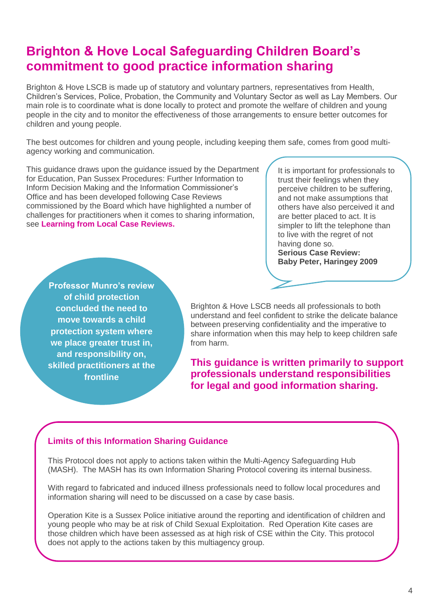# **Brighton & Hove Local Safeguarding Children Board's commitment to good practice information sharing**

Brighton & Hove LSCB is made up of statutory and voluntary partners, representatives from Health, Children's Services, Police, Probation, the Community and Voluntary Sector as well as Lay Members. Our main role is to coordinate what is done locally to protect and promote the welfare of children and young people in the city and to monitor the effectiveness of those arrangements to ensure better outcomes for children and young people.

The best outcomes for children and young people, including keeping them safe, comes from good multiagency working and communication.

This guidance draws upon the guidance issued by the Department for Education, Pan Sussex Procedures: Further Information to Inform Decision Making and the Information Commissioner's Office and has been developed following Case Reviews commissioned by the Board which have highlighted a number of challenges for practitioners when it comes to sharing information, see **Learning from Local Case Reviews.**

It is important for professionals to trust their feelings when they perceive children to be suffering, and not make assumptions that others have also perceived it and are better placed to act. It is simpler to lift the telephone than to live with the regret of not having done so. **Serious Case Review: Baby Peter, Haringey 2009**

**Professor Munro's review of child protection concluded the need to move towards a child protection system where we place greater trust in, and responsibility on, skilled practitioners at the frontline** 

Brighton & Hove LSCB needs all professionals to both understand and feel confident to strike the delicate balance between preserving confidentiality and the imperative to share information when this may help to keep children safe from harm.

**This guidance is written primarily to support professionals understand responsibilities for legal and good information sharing.**

#### **Limits of this Information Sharing Guidance**

This Protocol does not apply to actions taken within the Multi-Agency Safeguarding Hub (MASH). The MASH has its own Information Sharing Protocol covering its internal business.

With regard to fabricated and induced illness professionals need to follow local procedures and information sharing will need to be discussed on a case by case basis.

Operation Kite is a Sussex Police initiative around the reporting and identification of children and young people who may be at risk of Child Sexual Exploitation. Red Operation Kite cases are those children which have been assessed as at high risk of CSE within the City. This protocol does not apply to the actions taken by this multiagency group.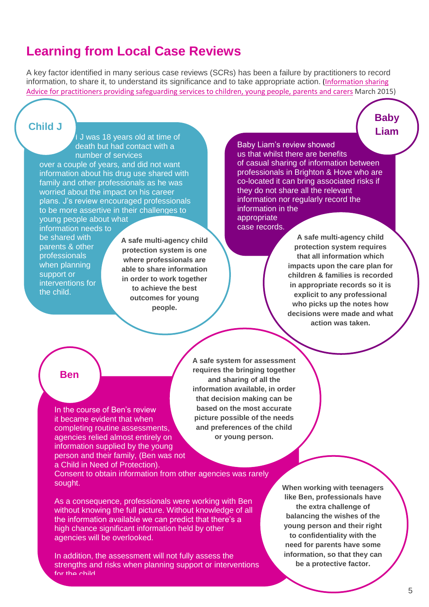## **Learning from Local Case Reviews**

A key factor identified in many serious case reviews (SCRs) has been a failure by practitioners to record information, to share it, to understand its significance and to take appropriate action. [\(Information sharing](https://www.gov.uk/government/uploads/system/uploads/attachment_data/file/419628/Information_sharing_advice_safeguarding_practitioners.pdf)  [Advice for practitioners providing safeguarding services to children, young people, parents and carers](https://www.gov.uk/government/uploads/system/uploads/attachment_data/file/419628/Information_sharing_advice_safeguarding_practitioners.pdf) March 2015)

#### **Child J**

I J was 18 years old at time of death but had contact with a number of services over a couple of years, and did not want

information about his drug use shared with family and other professionals as he was worried about the impact on his career plans. J's review encouraged professionals to be more assertive in their challenges to young people about what

information needs to be shared with parents & other professionals when planning support or interventions for the child.

**A safe multi-agency child protection system is one where professionals are able to share information in order to work together to achieve the best outcomes for young people.** 

#### Baby Liam's review showed

us that whilst there are benefits of casual sharing of information between professionals in Brighton & Hove who are co-located it can bring associated risks if they do not share all the relevant information nor regularly record the information in the appropriate

case records.

**A safe multi-agency child protection system requires that all information which impacts upon the care plan for children & families is recorded in appropriate records so it is explicit to any professional who picks up the notes how decisions were made and what action was taken.** 

**Baby Liam**

#### **Ben**

In the course of Ben's review it became evident that when completing routine assessments, agencies relied almost entirely on information supplied by the young person and their family, (Ben was not a Child in Need of Protection).

**A safe system for assessment requires the bringing together and sharing of all the information available, in order that decision making can be based on the most accurate picture possible of the needs and preferences of the child or young person.** 

Consent to obtain information from other agencies was rarely sought.

As a consequence, professionals were working with Ben without knowing the full picture. Without knowledge of all the information available we can predict that there's a high chance significant information held by other agencies will be overlooked.

In addition, the assessment will not fully assess the strengths and risks when planning support or interventions for the child.

**When working with teenagers like Ben, professionals have the extra challenge of balancing the wishes of the young person and their right to confidentiality with the need for parents have some information, so that they can be a protective factor.**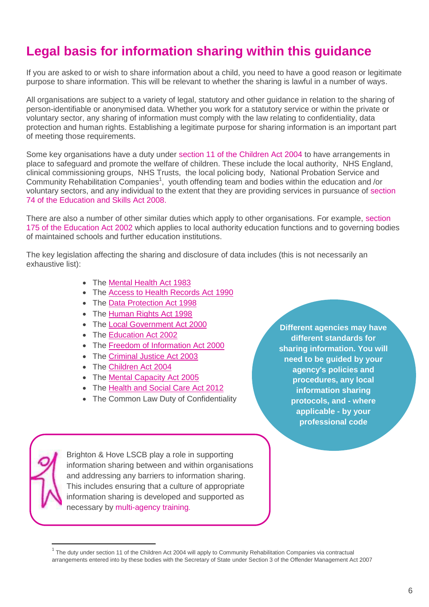# **Legal basis for information sharing within this guidance**

If you are asked to or wish to share information about a child, you need to have a good reason or legitimate purpose to share information. This will be relevant to whether the sharing is lawful in a number of ways.

All organisations are subject to a variety of legal, statutory and other guidance in relation to the sharing of person-identifiable or anonymised data. Whether you work for a statutory service or within the private or voluntary sector, any sharing of information must comply with the law relating to confidentiality, data protection and human rights. Establishing a legitimate purpose for sharing information is an important part of meeting those requirements.

Some key organisations have a duty under section 11 of the Children Act 2004 to have arrangements in place to safeguard and promote the welfare of children. These include the local authority, NHS England, clinical commissioning groups, NHS Trusts, the local policing body, National Probation Service and Community Rehabilitation Companies<sup>1</sup>, youth offending team and bodies within the education and /or voluntary sectors, and any individual to the extent that they are providing services in pursuance of section 74 of the Education and Skills Act 2008.

There are also a number of other similar duties which apply to other organisations. For example, section 175 of the Education Act 2002 which applies to local authority education functions and to governing bodies of maintained schools and further education institutions.

The key legislation affecting the sharing and disclosure of data includes (this is not necessarily an exhaustive list):

- The [Mental Health Act 1983](http://www.legislation.gov.uk/ukpga/1983/20/contents)
- The [Access to Health Records Act 1990](http://www.legislation.gov.uk/ukpga/1990/23/contents)
- The [Data Protection Act 1998](http://www.legislation.gov.uk/ukpga/1998/29/contents)
- The [Human Rights Act 1998](http://www.legislation.gov.uk/ukpga/1998/42/contents)
- The [Local Government Act 2000](http://www.legislation.gov.uk/ukpga/2000/22/contents)
- The [Education Act 2002](http://www.legislation.gov.uk/ukpga/2002/32/contents)
- The [Freedom of Information Act 2000](http://www.legislation.gov.uk/ukpga/2000/36/contents)
- The [Criminal Justice Act 2003](http://www.legislation.gov.uk/ukpga/2003/44/contents)
- The [Children Act 2004](http://www.legislation.gov.uk/ukpga/2004/31/contents)
- The [Mental Capacity Act 2005](http://www.legislation.gov.uk/ukpga/2005/9/contents)
- The [Health and Social Care Act 2012](http://www.legislation.gov.uk/ukpga/2012/7/contents)
- The Common Law Duty of Confidentiality

**Different agencies may have different standards for sharing information. You will need to be guided by your agency's policies and procedures, any local information sharing protocols, and - where applicable - by your professional code**



1

Brighton & Hove LSCB play a role in supporting information sharing between and within organisations and addressing any barriers to information sharing. This includes ensuring that a culture of appropriate information sharing is developed and supported as necessary by [multi-agency training](http://brightonandhovelscb.org.uk/professionals/prof_training/)**.**

 $1$  The duty under section 11 of the Children Act 2004 will apply to Community Rehabilitation Companies via contractual arrangements entered into by these bodies with the Secretary of State under Section 3 of the Offender Management Act 2007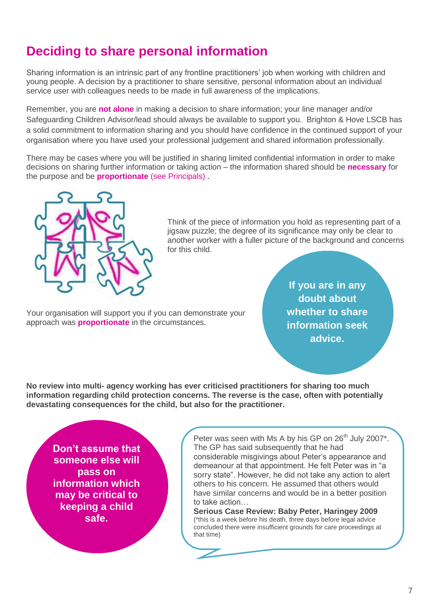# **Deciding to share personal information**

Sharing information is an intrinsic part of any frontline practitioners' job when working with children and young people. A decision by a practitioner to share sensitive, personal information about an individual service user with colleagues needs to be made in full awareness of the implications.

Remember, you are **not alone** in making a decision to share information; your line manager and/or Safeguarding Children Advisor/lead should always be available to support you. Brighton & Hove LSCB has a solid commitment to information sharing and you should have confidence in the continued support of your organisation where you have used your professional judgement and shared information professionally.

There may be cases where you will be justified in sharing limited confidential information in order to make decisions on sharing further information or taking action – the information shared should be **necessary** for the purpose and be **proportionate** (see Principals) .



Think of the piece of information you hold as representing part of a jigsaw puzzle; the degree of its significance may only be clear to another worker with a fuller picture of the background and concerns for this child.

Your organisation will support you if you can demonstrate your approach was **proportionate** in the circumstances.

**If you are in any doubt about whether to share information seek advice.** 

**No review into multi- agency working has ever criticised practitioners for sharing too much information regarding child protection concerns. The reverse is the case, often with potentially devastating consequences for the child, but also for the practitioner.**

**Don't assume that someone else will pass on information which may be critical to keeping a child safe.**

Peter was seen with Ms A by his GP on 26<sup>th</sup> July 2007\*. The GP has said subsequently that he had considerable misgivings about Peter's appearance and demeanour at that appointment. He felt Peter was in "a sorry state". However, he did not take any action to alert others to his concern. He assumed that others would have similar concerns and would be in a better position to take action…

**Serious Case Review: Baby Peter, Haringey 2009**  (\*this is a week before his death, three days before legal advice concluded there were insufficient grounds for care proceedings at that time)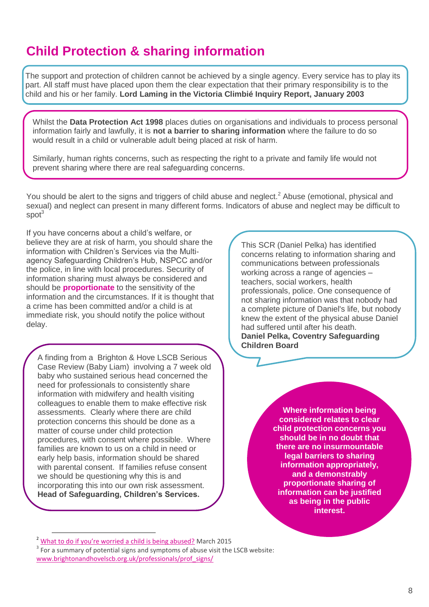# **Child Protection & sharing information**

The support and protection of children cannot be achieved by a single agency. Every service has to play its part. All staff must have placed upon them the clear expectation that their primary responsibility is to the child and his or her family. **Lord Laming in the Victoria Climbié Inquiry Report, January 2003**

Whilst the **Data Protection Act 1998** places duties on organisations and individuals to process personal information fairly and lawfully, it is **not a barrier to sharing information** where the failure to do so would result in a child or vulnerable adult being placed at risk of harm.

Similarly, human rights concerns, such as respecting the right to a private and family life would not prevent sharing where there are real safeguarding concerns.

You should be alert to the signs and triggers of child abuse and neglect.<sup>2</sup> Abuse (emotional, physical and sexual) and neglect can present in many different forms. Indicators of abuse and neglect may be difficult to spot<sup>3</sup>

If you have concerns about a child's welfare, or believe they are at risk of harm, you should share the information with Children's Services via the Multiagency Safeguarding Children's Hub, NSPCC and/or the police, in line with local procedures. Security of information sharing must always be considered and should be **proportionate** to the sensitivity of the information and the circumstances. If it is thought that a crime has been committed and/or a child is at immediate risk, you should notify the police without delay.

A finding from a Brighton & Hove LSCB Serious Case Review (Baby Liam) involving a 7 week old baby who sustained serious head concerned the need for professionals to consistently share information with midwifery and health visiting colleagues to enable them to make effective risk assessments. Clearly where there are child protection concerns this should be done as a matter of course under child protection procedures, with consent where possible. Where families are known to us on a child in need or early help basis, information should be shared with parental consent. If families refuse consent we should be questioning why this is and incorporating this into our own risk assessment. **Head of Safeguarding, Children's Services.** 

This SCR (Daniel Pelka) has identified concerns relating to information sharing and communications between professionals working across a range of agencies – teachers, social workers, health professionals, police. One consequence of not sharing information was that nobody had a complete picture of Daniel's life, but nobody knew the extent of the physical abuse Daniel had suffered until after his death. **Daniel Pelka, Coventry Safeguarding Children Board** 

> **Where information being considered relates to clear child protection concerns you should be in no doubt that there are no insurmountable legal barriers to sharing information appropriately, and a demonstrably proportionate sharing of information can be justified as being in the public interest.**

 $\overline{a}$ 

<sup>2</sup> [What to do if you're worried a child is being abused?](http://www.brightonandhovelscb.org.uk/wp-content/uploads/What-to-do-if-a-child-is-being-abused.pdf) March 2015

 $3$  For a summary of potential signs and symptoms of abuse visit the LSCB website: [www.brightonandhovelscb.org.uk/professionals/prof\\_signs/](http://www.brightonandhovelscb.org.uk/professionals/prof_signs/)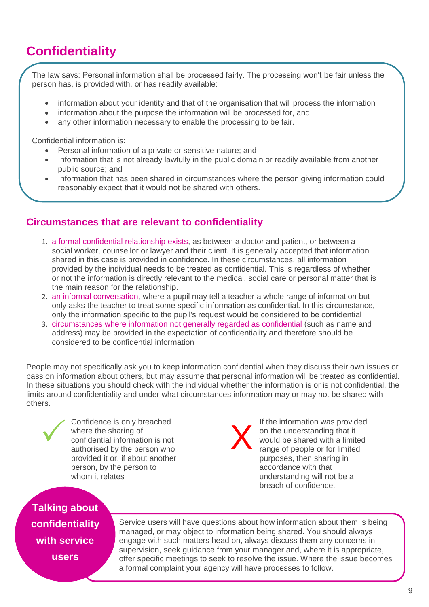# **Confidentiality**

The law says: Personal information shall be processed fairly. The processing won't be fair unless the person has, is provided with, or has readily available:

- information about your identity and that of the organisation that will process the information
- information about the purpose the information will be processed for, and
- any other information necessary to enable the processing to be fair.

Confidential information is:

- Personal information of a private or sensitive nature; and
- Information that is not already lawfully in the public domain or readily available from another public source; and
- Information that has been shared in circumstances where the person giving information could reasonably expect that it would not be shared with others.

### **Circumstances that are relevant to confidentiality**

- 1. a formal confidential relationship exists, as between a doctor and patient, or between a social worker, counsellor or lawyer and their client. It is generally accepted that information shared in this case is provided in confidence. In these circumstances, all information provided by the individual needs to be treated as confidential. This is regardless of whether or not the information is directly relevant to the medical, social care or personal matter that is the main reason for the relationship.
- 2. an informal conversation, where a pupil may tell a teacher a whole range of information but only asks the teacher to treat some specific information as confidential. In this circumstance, only the information specific to the pupil's request would be considered to be confidential
- 3. circumstances where information not generally regarded as confidential (such as name and address) may be provided in the expectation of confidentiality and therefore should be considered to be confidential information

People may not specifically ask you to keep information confidential when they discuss their own issues or pass on information about others, but may assume that personal information will be treated as confidential. In these situations you should check with the individual whether the information is or is not confidential, the limits around confidentiality and under what circumstances information may or may not be shared with others.



Confidence is only breached where the sharing of confidential information is not authorised by the person who provided it or, if about another person, by the person to whom it relates

X

If the information was provided on the understanding that it would be shared with a limited range of people or for limited purposes, then sharing in accordance with that understanding will not be a breach of confidence.

**Talking about confidentiality with service users**

Service users will have questions about how information about them is being managed, or may object to information being shared. You should always engage with such matters head on, always discuss them any concerns in supervision, seek guidance from your manager and, where it is appropriate, offer specific meetings to seek to resolve the issue. Where the issue becomes a formal complaint your agency will have processes to follow.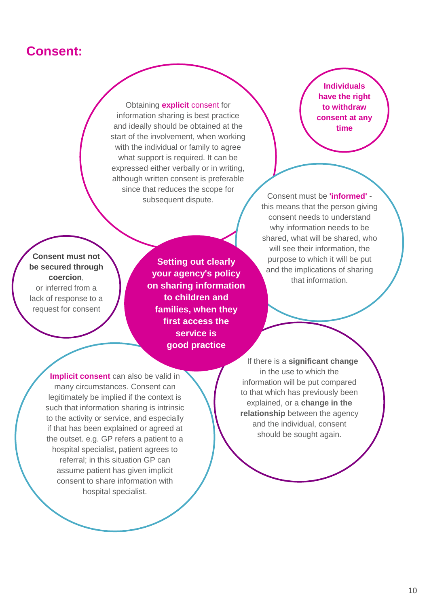## **Consent:**

Obtaining **explicit** consent for information sharing is best practice and ideally should be obtained at the start of the involvement, when working with the individual or family to agree what support is required. It can be expressed either verbally or in writing, although written consent is preferable since that reduces the scope for subsequent dispute. Consent must be **'informed'** -

**Individuals have the right to withdraw consent at any time**

this means that the person giving consent needs to understand why information needs to be shared, what will be shared, who will see their information, the purpose to which it will be put and the implications of sharing that information.

**Consent must not be secured through coercion**, or inferred from a lack of response to a request for consent

**Setting out clearly your agency's policy on sharing information to children and families, when they first access the service is good practice**

**Implicit consent** can also be valid in many circumstances. Consent can legitimately be implied if the context is such that information sharing is intrinsic to the activity or service, and especially if that has been explained or agreed at the outset. e.g. GP refers a patient to a hospital specialist, patient agrees to referral; in this situation GP can assume patient has given implicit consent to share information with hospital specialist.

 If there is a **significant change** in the use to which the information will be put compared to that which has previously been explained, or a **change in the relationship** between the agency and the individual, consent should be sought again.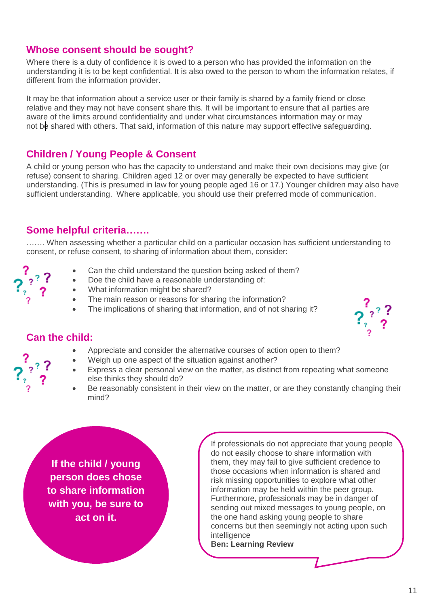### **Whose consent should be sought?**

Where there is a duty of confidence it is owed to a person who has provided the information on the understanding it is to be kept confidential. It is also owed to the person to whom the information relates, if different from the information provider.

It may be that information about a service user or their family is shared by a family friend or close relative and they may not have consent share this. It will be important to ensure that all parties are aware of the limits around confidentiality and under what circumstances information may or may not be shared with others. That said, information of this nature may support effective safeguarding.

### **Children / Young People & Consent**

A child or young person who has the capacity to understand and make their own decisions may give (or refuse) consent to sharing. Children aged 12 or over may generally be expected to have sufficient understanding. (This is presumed in law for young people aged 16 or 17.) Younger children may also have sufficient understanding. Where applicable, you should use their preferred mode of communication.

### **Some helpful criteria…….**

……. When assessing whether a particular child on a particular occasion has sufficient understanding to consent, or refuse consent, to sharing of information about them, consider:

- Can the child understand the question being asked of them?
- Doe the child have a reasonable understanding of:
- What information might be shared?
- The main reason or reasons for sharing the information?
- The implications of sharing that information, and of not sharing it?



### **Can the child:**

- Appreciate and consider the alternative courses of action open to them?
- Weigh up one aspect of the situation against another?
- Express a clear personal view on the matter, as distinct from repeating what someone else thinks they should do?
- Be reasonably consistent in their view on the matter, or are they constantly changing their mind?

**If the child / young person does chose to share information with you, be sure to act on it.**

If professionals do not appreciate that young people do not easily choose to share information with them, they may fail to give sufficient credence to those occasions when information is shared and risk missing opportunities to explore what other information may be held within the peer group. Furthermore, professionals may be in danger of sending out mixed messages to young people, on the one hand asking young people to share concerns but then seemingly not acting upon such intelligence

**Ben: Learning Review**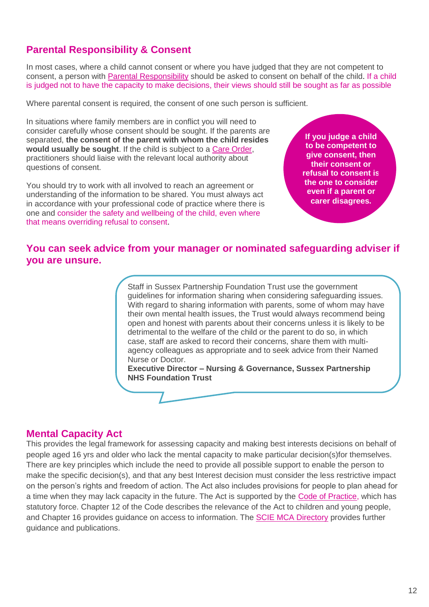## **Parental Responsibility & Consent**

In most cases, where a child cannot consent or where you have judged that they are not competent to consent, a person with [Parental Responsibility](http://www.proceduresonline.com/resources/keywords_online/nat_key/keywords/parental_respons.html) should be asked to consent on behalf of the child. If a child is judged not to have the capacity to make decisions, their views should still be sought as far as possible

Where parental consent is required, the consent of one such person is sufficient.

In situations where family members are in conflict you will need to consider carefully whose consent should be sought. If the parents are separated, **the consent of the parent with whom the child resides would usually be sought**. If the child is subject to a [Care Order,](http://www.proceduresonline.com/resources/keywords_online/nat_key/keywords/care_order.html) practitioners should liaise with the relevant local authority about questions of consent.

You should try to work with all involved to reach an agreement or understanding of the information to be shared. You must always act in accordance with your professional code of practice where there is one and consider the safety and wellbeing of the child, even where that means overriding refusal to consent.

**If you judge a child to be competent to give consent, then their consent or refusal to consent is the one to consider even if a parent or carer disagrees.**

### **You can seek advice from your manager or nominated safeguarding adviser if you are unsure.**

Staff in Sussex Partnership Foundation Trust use the government guidelines for information sharing when considering safeguarding issues. With regard to sharing information with parents, some of whom may have their own mental health issues, the Trust would always recommend being open and honest with parents about their concerns unless it is likely to be detrimental to the welfare of the child or the parent to do so, in which case, staff are asked to record their concerns, share them with multiagency colleagues as appropriate and to seek advice from their Named Nurse or Doctor.

**Executive Director – Nursing & Governance, Sussex Partnership NHS Foundation Trust**

### **Mental Capacity Act**

This provides the legal framework for assessing capacity and making best interests decisions on behalf of people aged 16 yrs and older who lack the mental capacity to make particular decision(s)for themselves. There are key principles which include the need to provide all possible support to enable the person to make the specific decision(s), and that any best Interest decision must consider the less restrictive impact on the person's rights and freedom of action. The Act also includes provisions for people to plan ahead for a time when they may lack capacity in the future. The Act is supported by the [Code of Practice,](https://www.gov.uk/government/uploads/system/uploads/attachment_data/file/224660/Mental_Capacity_Act_code_of_practice.pdf) which has statutory force. Chapter 12 of the Code describes the relevance of the Act to children and young people, and Chapter 16 provides guidance on access to information. The [SCIE MCA Directory](http://www.scie.org.uk/mca-directory/) provides further guidance and publications.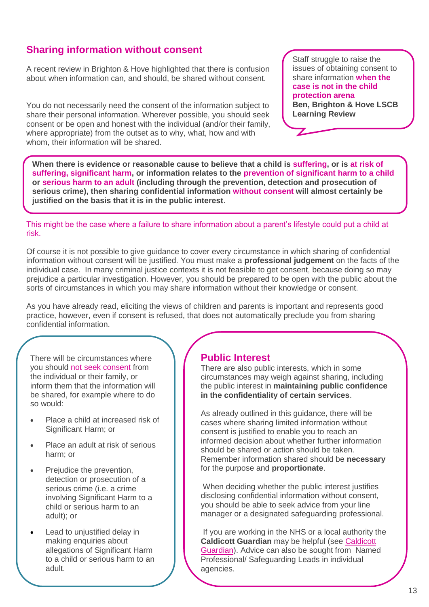### **Sharing information without consent**

A recent review in Brighton & Hove highlighted that there is confusion about when information can, and should, be shared without consent.

You do not necessarily need the consent of the information subject to share their personal information. Wherever possible, you should seek consent or be open and honest with the individual (and/or their family, where appropriate) from the outset as to why, what, how and with whom, their information will be shared.

Staff struggle to raise the issues of obtaining consent to share information **when the case is not in the child protection arena Ben, Brighton & Hove LSCB Learning Review** 

**When there is evidence or reasonable cause to believe that a child is suffering, or is at risk of suffering, significant harm, or information relates to the prevention of significant harm to a child or serious harm to an adult (including through the prevention, detection and prosecution of serious crime), then sharing confidential information without consent will almost certainly be justified on the basis that it is in the public interest**.

This might be the case where a failure to share information about a parent's lifestyle could put a child at risk.

Of course it is not possible to give guidance to cover every circumstance in which sharing of confidential information without consent will be justified. You must make a **professional judgement** on the facts of the individual case. In many criminal justice contexts it is not feasible to get consent, because doing so may prejudice a particular investigation. However, you should be prepared to be open with the public about the sorts of circumstances in which you may share information without their knowledge or consent.

As you have already read, eliciting the views of children and parents is important and represents good practice, however, even if consent is refused, that does not automatically preclude you from sharing confidential information.

There will be circumstances where you should not seek consent from the individual or their family, or inform them that the information will be shared, for example where to do so would:

- Place a child at increased risk of Significant Harm; or
- Place an adult at risk of serious harm; or
- Prejudice the prevention, detection or prosecution of a serious crime (i.e. a crime involving Significant Harm to a child or serious harm to an adult); or
- Lead to uniustified delay in making enquiries about allegations of Significant Harm to a child or serious harm to an adult.

### **Public Interest**

There are also public interests, which in some circumstances may weigh against sharing, including the public interest in **maintaining public confidence in the confidentiality of certain services**.

As already outlined in this guidance, there will be cases where sharing limited information without consent is justified to enable you to reach an informed decision about whether further information should be shared or action should be taken. Remember information shared should be **necessary** for the purpose and **proportionate**.

When deciding whether the public interest justifies disclosing confidential information without consent, you should be able to seek advice from your line manager or a designated safeguarding professional.

If you are working in the NHS or a local authority the **Caldicott Guardian** may be helpful (see [Caldicott](http://pansussexscb.proceduresonline.com/chapters/p_caldicott.html)  [Guardian\)](http://pansussexscb.proceduresonline.com/chapters/p_caldicott.html). Advice can also be sought from Named Professional/ Safeguarding Leads in individual agencies.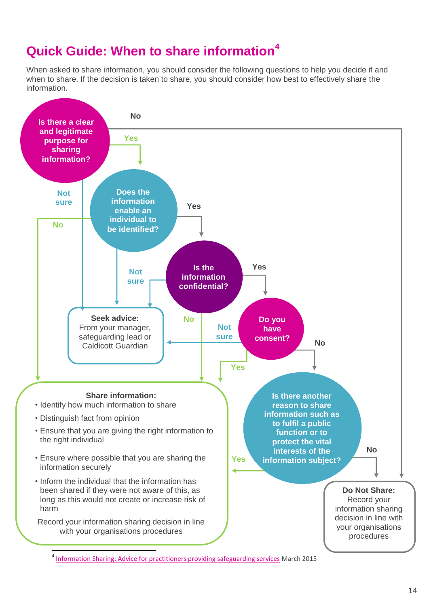# **Quick Guide: When to share information<sup>4</sup>**

When asked to share information, you should consider the following questions to help you decide if and when to share. If the decision is taken to share, you should consider how best to effectively share the information.



<sup>&</sup>lt;sup>4</sup> [Information Sharing: Advice for practitioners providing safeguarding services](http://www.gov.uk/government/uploads/system/uploads/attachment_data/file/417195/Information_sharing_advice_for_safeguarding_practitioners.pdf) March 2015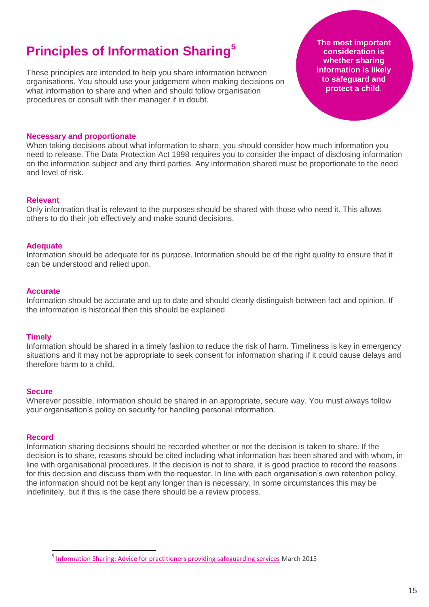# **Principles of Information Sharing<sup>5</sup>**

These principles are intended to help you share information between organisations. You should use your judgement when making decisions on what information to share and when and should follow organisation procedures or consult with their manager if in doubt.

**The most important consideration is whether sharing information is likely to safeguard and protect a child**.

#### **Necessary and proportionate**

When taking decisions about what information to share, you should consider how much information you need to release. The Data Protection Act 1998 requires you to consider the impact of disclosing information on the information subject and any third parties. Any information shared must be proportionate to the need and level of risk.

#### **Relevant**

Only information that is relevant to the purposes should be shared with those who need it. This allows others to do their job effectively and make sound decisions.

#### **Adequate**

Information should be adequate for its purpose. Information should be of the right quality to ensure that it can be understood and relied upon.

#### **Accurate**

Information should be accurate and up to date and should clearly distinguish between fact and opinion. If the information is historical then this should be explained.

#### **Timely**

Information should be shared in a timely fashion to reduce the risk of harm. Timeliness is key in emergency situations and it may not be appropriate to seek consent for information sharing if it could cause delays and therefore harm to a child.

#### **Secure**

Wherever possible, information should be shared in an appropriate, secure way. You must always follow your organisation's policy on security for handling personal information.

#### **Record**

 $\overline{a}$ 

Information sharing decisions should be recorded whether or not the decision is taken to share. If the decision is to share, reasons should be cited including what information has been shared and with whom, in line with organisational procedures. If the decision is not to share, it is good practice to record the reasons for this decision and discuss them with the requester. In line with each organisation's own retention policy, the information should not be kept any longer than is necessary. In some circumstances this may be indefinitely, but if this is the case there should be a review process.

<sup>&</sup>lt;sup>5</sup> [Information Sharing: Advice for practitioners providing safeguarding services](http://www.gov.uk/government/uploads/system/uploads/attachment_data/file/417195/Information_sharing_advice_for_safeguarding_practitioners.pdf) March 2015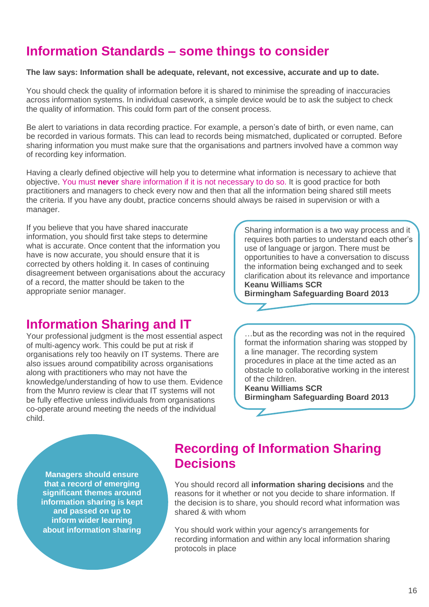# **Information Standards – some things to consider**

#### **The law says: Information shall be adequate, relevant, not excessive, accurate and up to date.**

You should check the quality of information before it is shared to minimise the spreading of inaccuracies across information systems. In individual casework, a simple device would be to ask the subject to check the quality of information. This could form part of the consent process.

Be alert to variations in data recording practice. For example, a person's date of birth, or even name, can be recorded in various formats. This can lead to records being mismatched, duplicated or corrupted. Before sharing information you must make sure that the organisations and partners involved have a common way of recording key information.

Having a clearly defined objective will help you to determine what information is necessary to achieve that objective. You must **never** share information if it is not necessary to do so. It is good practice for both practitioners and managers to check every now and then that all the information being shared still meets the criteria. If you have any doubt, practice concerns should always be raised in supervision or with a manager.

If you believe that you have shared inaccurate information, you should first take steps to determine what is accurate. Once content that the information you have is now accurate, you should ensure that it is corrected by others holding it. In cases of continuing disagreement between organisations about the accuracy of a record, the matter should be taken to the appropriate senior manager.

## **Information Sharing and IT**

Your professional judgment is the most essential aspect of multi-agency work. This could be put at risk if organisations rely too heavily on IT systems. There are also issues around compatibility across organisations along with practitioners who may not have the knowledge/understanding of how to use them. Evidence from the Munro review is clear that IT systems will not be fully effective unless individuals from organisations co-operate around meeting the needs of the individual child.

Sharing information is a two way process and it requires both parties to understand each other's use of language or jargon. There must be opportunities to have a conversation to discuss the information being exchanged and to seek clarification about its relevance and importance **Keanu Williams SCR**

**Birmingham Safeguarding Board 2013**

…but as the recording was not in the required format the information sharing was stopped by a line manager. The recording system procedures in place at the time acted as an obstacle to collaborative working in the interest of the children.

**Keanu Williams SCR Birmingham Safeguarding Board 2013**

**Managers should ensure that a record of emerging significant themes around information sharing is kept and passed on up to inform wider learning about information sharing**

## **Recording of Information Sharing Decisions**

 $\overline{\mathbb{Z}}$ 

You should record all **information sharing decisions** and the reasons for it whether or not you decide to share information. If the decision is to share, you should record what information was shared & with whom

You should work within your agency's arrangements for recording information and within any local information sharing protocols in place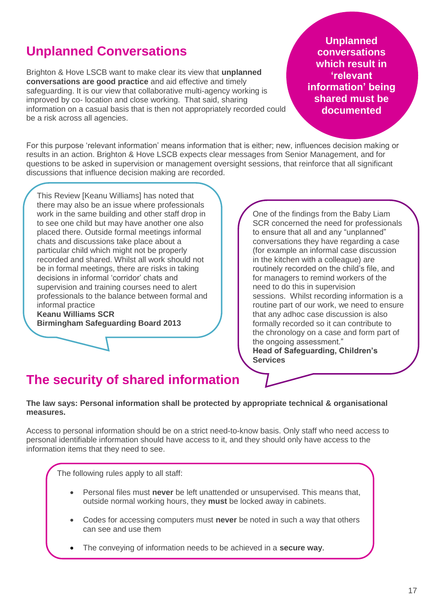# **Unplanned Conversations**

Brighton & Hove LSCB want to make clear its view that **unplanned conversations are good practice** and aid effective and timely safeguarding. It is our view that collaborative multi-agency working is improved by co- location and close working. That said, sharing information on a casual basis that is then not appropriately recorded could be a risk across all agencies.

**Unplanned conversations which result in 'relevant information' being shared must be documented**

For this purpose 'relevant information' means information that is either; new, influences decision making or results in an action. Brighton & Hove LSCB expects clear messages from Senior Management, and for questions to be asked in supervision or management oversight sessions, that reinforce that all significant discussions that influence decision making are recorded.

This Review [Keanu Williams] has noted that there may also be an issue where professionals work in the same building and other staff drop in to see one child but may have another one also placed there. Outside formal meetings informal chats and discussions take place about a particular child which might not be properly recorded and shared. Whilst all work should not be in formal meetings, there are risks in taking decisions in informal 'corridor' chats and supervision and training courses need to alert professionals to the balance between formal and informal practice

**Keanu Williams SCR Birmingham Safeguarding Board 2013**

One of the findings from the Baby Liam SCR concerned the need for professionals to ensure that all and any "unplanned" conversations they have regarding a case (for example an informal case discussion in the kitchen with a colleague) are routinely recorded on the child's file, and for managers to remind workers of the need to do this in supervision sessions. Whilst recording information is a routine part of our work, we need to ensure that any adhoc case discussion is also formally recorded so it can contribute to the chronology on a case and form part of the ongoing assessment." **Head of Safeguarding, Children's** 

**The security of shared information** 

#### **The law says: Personal information shall be protected by appropriate technical & organisational measures.**

**Services**

Access to personal information should be on a strict need-to-know basis. Only staff who need access to personal identifiable information should have access to it, and they should only have access to the information items that they need to see.

The following rules apply to all staff:

- Personal files must **never** be left unattended or unsupervised. This means that, outside normal working hours, they **must** be locked away in cabinets.
- Codes for accessing computers must **never** be noted in such a way that others can see and use them
- The conveying of information needs to be achieved in a **secure way**.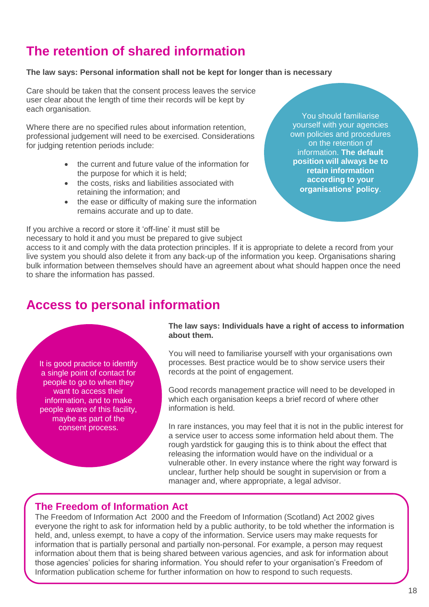# **The retention of shared information**

#### **The law says: Personal information shall not be kept for longer than is necessary**

Care should be taken that the consent process leaves the service user clear about the length of time their records will be kept by each organisation.

Where there are no specified rules about information retention, professional judgement will need to be exercised. Considerations for judging retention periods include:

- the current and future value of the information for the purpose for which it is held;
- the costs, risks and liabilities associated with retaining the information; and
- the ease or difficulty of making sure the information remains accurate and up to date.

If you archive a record or store it 'off-line' it must still be

necessary to hold it and you must be prepared to give subject

You should familiarise yourself with your agencies own policies and procedures on the retention of information. **The default position will always be to retain information according to your organisations' policy**.

access to it and comply with the data protection principles. If it is appropriate to delete a record from your live system you should also delete it from any back-up of the information you keep. Organisations sharing bulk information between themselves should have an agreement about what should happen once the need to share the information has passed.

## **Access to personal information**

It is good practice to identify a single point of contact for people to go to when they want to access their information, and to make people aware of this facility, maybe as part of the consent process.

**The law says: Individuals have a right of access to information about them.**

You will need to familiarise yourself with your organisations own processes. Best practice would be to show service users their records at the point of engagement.

Good records management practice will need to be developed in which each organisation keeps a brief record of where other information is held.

In rare instances, you may feel that it is not in the public interest for a service user to access some information held about them. The rough yardstick for gauging this is to think about the effect that releasing the information would have on the individual or a vulnerable other. In every instance where the right way forward is unclear, further help should be sought in supervision or from a manager and, where appropriate, a legal advisor.

### **The Freedom of Information Act**

The Freedom of Information Act 2000 and the Freedom of Information (Scotland) Act 2002 gives everyone the right to ask for information held by a public authority, to be told whether the information is held, and, unless exempt, to have a copy of the information. Service users may make requests for information that is partially personal and partially non-personal. For example, a person may request information about them that is being shared between various agencies, and ask for information about those agencies' policies for sharing information. You should refer to your organisation's Freedom of Information publication scheme for further information on how to respond to such requests.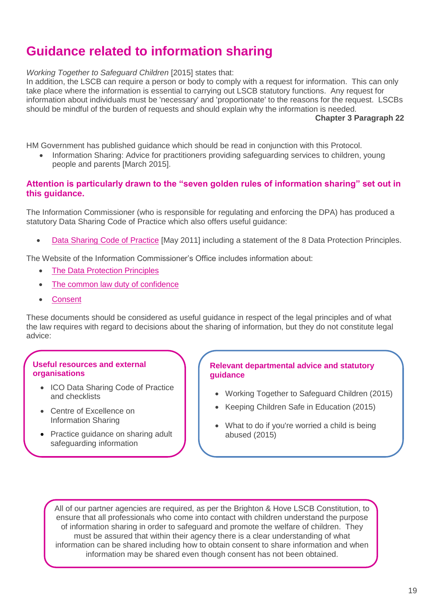# **Guidance related to information sharing**

*Working Together to Safeguard Children* [2015] states that:

In addition, the LSCB can require a person or body to comply with a request for information. This can only take place where the information is essential to carrying out LSCB statutory functions. Any request for information about individuals must be 'necessary' and 'proportionate' to the reasons for the request. LSCBs should be mindful of the burden of requests and should explain why the information is needed.

**Chapter 3 Paragraph 22**

HM Government has published guidance which should be read in conjunction with this Protocol.

 [Information Sharing: Advice for practitioners providing safeguarding services](https://www.gov.uk/government/publications/safeguarding-practitioners-information-sharing-advice) to children, young people and parents [March 2015].

#### **Attention is particularly drawn to the "seven golden rules of information sharing" set out in this guidance.**

The Information Commissioner (who is responsible for regulating and enforcing the DPA) has produced a statutory Data Sharing Code of Practice which also offers useful guidance:

[Data Sharing Code of Practice](https://ico.org.uk/media/for-organisations/documents/1068/data_sharing_code_of_practice.pdf) [May 2011] including a statement of the 8 Data Protection Principles.

The Website of the Information Commissioner's Office includes information about:

- [The Data Protection Principles](https://ico.org.uk/for-organisations/guide-to-data-protection/data-protection-principles/)
- [The common law duty of confidence](https://ico.org.uk/media/for-organisations/documents/1193/confidentialinformation_v4.pdf)
- **[Consent](https://ico.org.uk/for-organisations/guide-to-data-protection/conditions-for-processing/)**

These documents should be considered as useful guidance in respect of the legal principles and of what the law requires with regard to decisions about the sharing of information, but they do not constitute legal advice:

#### **Useful resources and external organisations**

- ICO Data Sharing Code of Practice and checklists
- Centre of Excellence on Information Sharing
- Practice guidance on sharing adult safeguarding information

#### **Relevant departmental advice and statutory guidance**

- Working Together to Safeguard Children (2015)
- Keeping Children Safe in Education (2015)
- What to do if you're worried a child is being abused (2015)

All of our partner agencies are required, as per the Brighton & Hove LSCB Constitution, to ensure that all professionals who come into contact with children understand the purpose of information sharing in order to safeguard and promote the welfare of children. They must be assured that within their agency there is a clear understanding of what information can be shared including how to obtain consent to share information and when information may be shared even though consent has not been obtained.